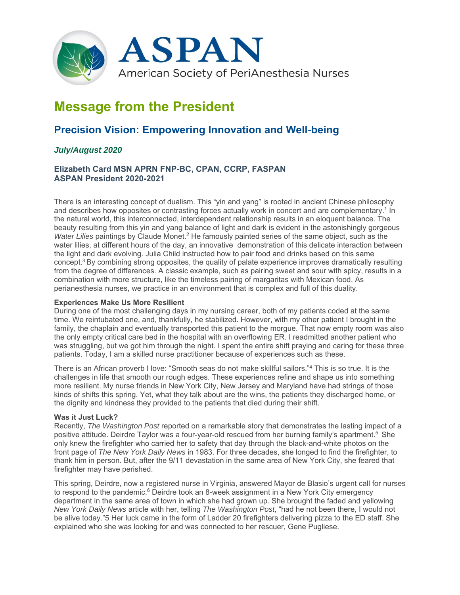

# **Message from the President**

# **Precision Vision: Empowering Innovation and Well-being**

## *July/August 2020*

### **Elizabeth Card MSN APRN FNP-BC, CPAN, CCRP, FASPAN ASPAN President 2020-2021**

There is an interesting concept of dualism. This "yin and yang" is rooted in ancient Chinese philosophy and describes how opposites or contrasting forces actually work in concert and are complementary.<sup>1</sup> In the natural world, this interconnected, interdependent relationship results in an eloquent balance. The beauty resulting from this yin and yang balance of light and dark is evident in the astonishingly gorgeous *Water Lilies* paintings by Claude Monet.<sup>2</sup> He famously painted series of the same object, such as the water lilies, at different hours of the day, an innovative demonstration of this delicate interaction between the light and dark evolving. Julia Child instructed how to pair food and drinks based on this same concept.3 By combining strong opposites, the quality of palate experience improves dramatically resulting from the degree of differences. A classic example, such as pairing sweet and sour with spicy, results in a combination with more structure, like the timeless pairing of margaritas with Mexican food. As perianesthesia nurses, we practice in an environment that is complex and full of this duality.

#### **Experiences Make Us More Resilient**

During one of the most challenging days in my nursing career, both of my patients coded at the same time. We reintubated one, and, thankfully, he stabilized. However, with my other patient I brought in the family, the chaplain and eventually transported this patient to the morgue. That now empty room was also the only empty critical care bed in the hospital with an overflowing ER. I readmitted another patient who was struggling, but we got him through the night. I spent the entire shift praying and caring for these three patients. Today, I am a skilled nurse practitioner because of experiences such as these.

There is an African proverb I love: "Smooth seas do not make skillful sailors."4 This is so true. It is the challenges in life that smooth our rough edges. These experiences refine and shape us into something more resilient. My nurse friends in New York City, New Jersey and Maryland have had strings of those kinds of shifts this spring. Yet, what they talk about are the wins, the patients they discharged home, or the dignity and kindness they provided to the patients that died during their shift.

#### **Was it Just Luck?**

Recently, *The Washington Post* reported on a remarkable story that demonstrates the lasting impact of a positive attitude. Deirdre Taylor was a four-year-old rescued from her burning family's apartment.5 She only knew the firefighter who carried her to safety that day through the black-and-white photos on the front page of *The New York Daily News* in 1983. For three decades, she longed to find the firefighter, to thank him in person. But, after the 9/11 devastation in the same area of New York City, she feared that firefighter may have perished.

This spring, Deirdre, now a registered nurse in Virginia, answered Mayor de Blasio's urgent call for nurses to respond to the pandemic.<sup>6</sup> Deirdre took an 8-week assignment in a New York City emergency department in the same area of town in which she had grown up. She brought the faded and yellowing *New York Daily News* article with her, telling *The Washington Post*, "had he not been there, I would not be alive today."5 Her luck came in the form of Ladder 20 firefighters delivering pizza to the ED staff. She explained who she was looking for and was connected to her rescuer, Gene Pugliese.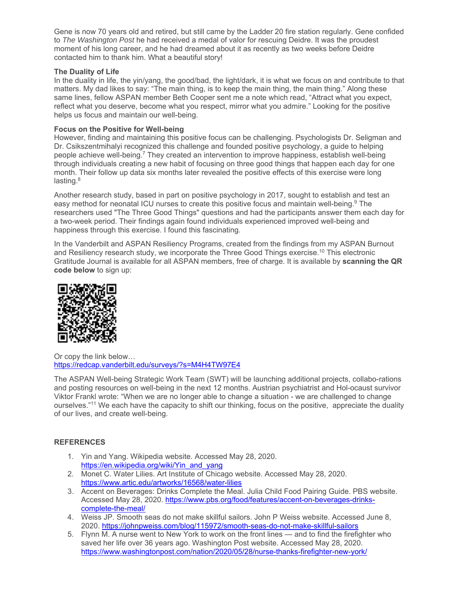Gene is now 70 years old and retired, but still came by the Ladder 20 fire station regularly. Gene confided to *The Washington Post* he had received a medal of valor for rescuing Deidre. It was the proudest moment of his long career, and he had dreamed about it as recently as two weeks before Deidre contacted him to thank him. What a beautiful story!

#### **The Duality of Life**

In the duality in life, the yin/yang, the good/bad, the light/dark, it is what we focus on and contribute to that matters. My dad likes to say: "The main thing, is to keep the main thing, the main thing." Along these same lines, fellow ASPAN member Beth Cooper sent me a note which read, "Attract what you expect, reflect what you deserve, become what you respect, mirror what you admire." Looking for the positive helps us focus and maintain our well-being.

#### **Focus on the Positive for Well-being**

However, finding and maintaining this positive focus can be challenging. Psychologists Dr. Seligman and Dr. Csikszentmihalyi recognized this challenge and founded positive psychology, a guide to helping people achieve well-being.<sup>7</sup> They created an intervention to improve happiness, establish well-being through individuals creating a new habit of focusing on three good things that happen each day for one month. Their follow up data six months later revealed the positive effects of this exercise were long lasting. $8$ 

Another research study, based in part on positive psychology in 2017, sought to establish and test an easy method for neonatal ICU nurses to create this positive focus and maintain well-being.9 The researchers used "The Three Good Things" questions and had the participants answer them each day for a two-week period. Their findings again found individuals experienced improved well-being and happiness through this exercise. I found this fascinating.

In the Vanderbilt and ASPAN Resiliency Programs, created from the findings from my ASPAN Burnout and Resiliency research study, we incorporate the Three Good Things exercise.10 This electronic Gratitude Journal is available for all ASPAN members, free of charge. It is available by **scanning the QR code below** to sign up:



Or copy the link below… https://redcap.vanderbilt.edu/surveys/?s=M4H4TW97E4

The ASPAN Well-being Strategic Work Team (SWT) will be launching additional projects, collabo-rations and posting resources on well-being in the next 12 months. Austrian psychiatrist and Hol-ocaust survivor Viktor Frankl wrote: "When we are no longer able to change a situation - we are challenged to change ourselves."<sup>11</sup> We each have the capacity to shift our thinking, focus on the positive, appreciate the duality of our lives, and create well-being.

#### **REFERENCES**

- 1. Yin and Yang. Wikipedia website. Accessed May 28, 2020. https://en.wikipedia.org/wiki/Yin\_and\_yang
- 2. Monet C. Water Lilies. Art Institute of Chicago website. Accessed May 28, 2020. https://www.artic.edu/artworks/16568/water-lilies
- 3. Accent on Beverages: Drinks Complete the Meal. Julia Child Food Pairing Guide. PBS website. Accessed May 28, 2020. https://www.pbs.org/food/features/accent-on-beverages-drinkscomplete-the-meal/
- 4. Weiss JP. Smooth seas do not make skillful sailors. John P Weiss website. Accessed June 8, 2020. https://johnpweiss.com/blog/115972/smooth-seas-do-not-make-skillful-sailors
- 5. Flynn M. A nurse went to New York to work on the front lines and to find the firefighter who saved her life over 36 years ago. Washington Post website. Accessed May 28, 2020. https://www.washingtonpost.com/nation/2020/05/28/nurse-thanks-firefighter-new-york/